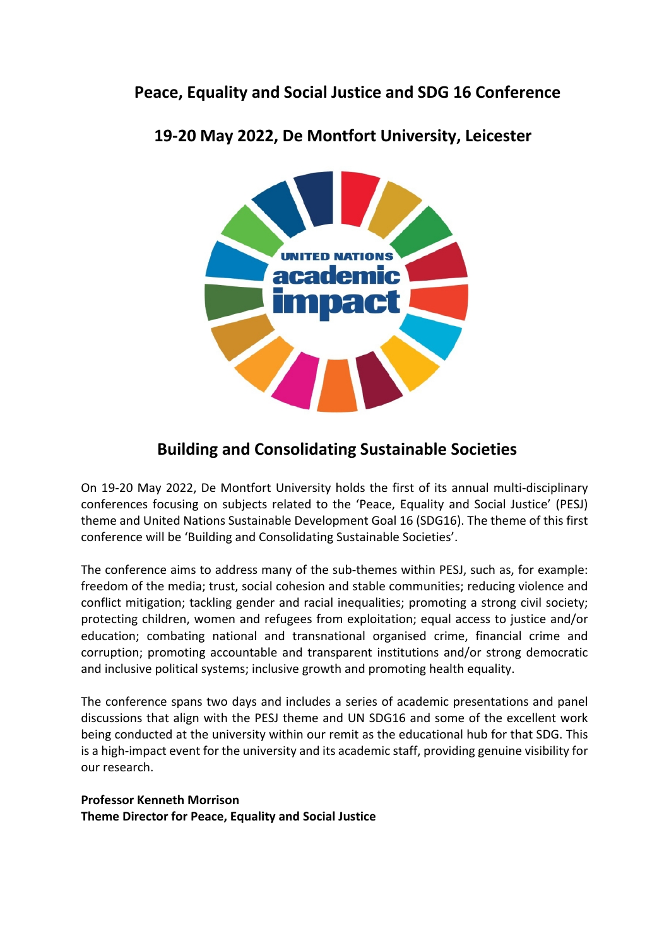# **Peace, Equality and Social Justice and SDG 16 Conference**



## **19-20 May 2022, De Montfort University, Leicester**

# **Building and Consolidating Sustainable Societies**

On 19-20 May 2022, De Montfort University holds the first of its annual multi-disciplinary conferences focusing on subjects related to the 'Peace, Equality and Social Justice' (PESJ) theme and United Nations Sustainable Development Goal 16 (SDG16). The theme of this first conference will be 'Building and Consolidating Sustainable Societies'.

The conference aims to address many of the sub-themes within PESJ, such as, for example: freedom of the media; trust, social cohesion and stable communities; reducing violence and conflict mitigation; tackling gender and racial inequalities; promoting a strong civil society; protecting children, women and refugees from exploitation; equal access to justice and/or education; combating national and transnational organised crime, financial crime and corruption; promoting accountable and transparent institutions and/or strong democratic and inclusive political systems; inclusive growth and promoting health equality.

The conference spans two days and includes a series of academic presentations and panel discussions that align with the PESJ theme and UN SDG16 and some of the excellent work being conducted at the university within our remit as the educational hub for that SDG. This is a high-impact event for the university and its academic staff, providing genuine visibility for our research.

**Professor Kenneth Morrison Theme Director for Peace, Equality and Social Justice**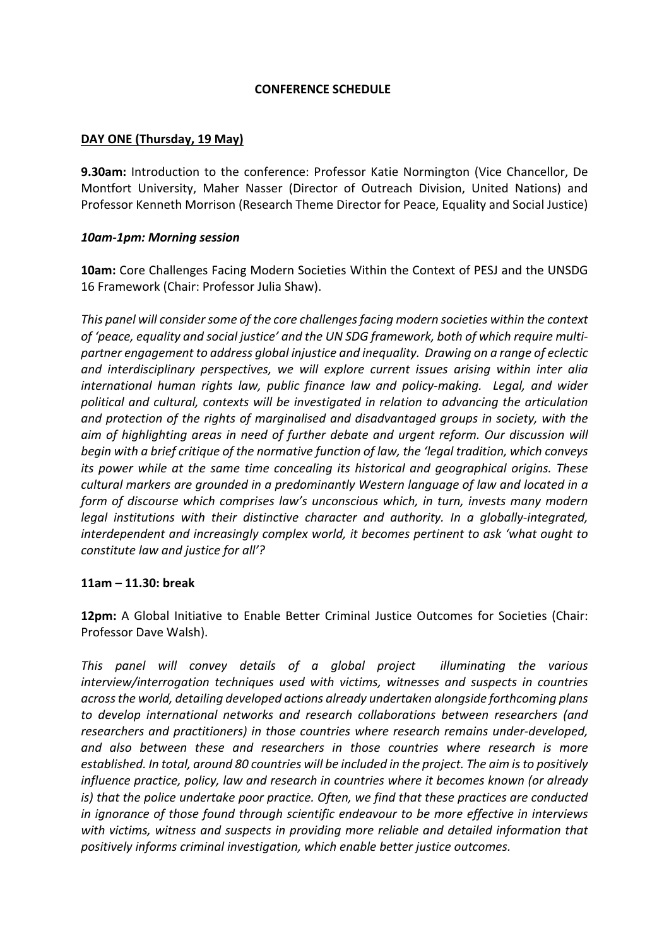#### **CONFERENCE SCHEDULE**

## **DAY ONE (Thursday, 19 May)**

**9.30am:** Introduction to the conference: Professor Katie Normington (Vice Chancellor, De Montfort University, Maher Nasser (Director of Outreach Division, United Nations) and Professor Kenneth Morrison (Research Theme Director for Peace, Equality and Social Justice)

## *10am-1pm: Morning session*

**10am:** Core Challenges Facing Modern Societies Within the Context of PESJ and the UNSDG 16 Framework (Chair: Professor Julia Shaw).

*This panel will consider some of the core challenges facing modern societies within the context of 'peace, equality and social justice' and the UN SDG framework, both of which require multipartner engagement to address global injustice and inequality. Drawing on a range of eclectic and interdisciplinary perspectives, we will explore current issues arising within inter alia international human rights law, public finance law and policy-making. Legal, and wider political and cultural, contexts will be investigated in relation to advancing the articulation and protection of the rights of marginalised and disadvantaged groups in society, with the aim of highlighting areas in need of further debate and urgent reform. Our discussion will begin with a brief critique of the normative function of law, the 'legal tradition, which conveys its power while at the same time concealing its historical and geographical origins. These cultural markers are grounded in a predominantly Western language of law and located in a form of discourse which comprises law's unconscious which, in turn, invests many modern legal institutions with their distinctive character and authority. In a globally-integrated, interdependent and increasingly complex world, it becomes pertinent to ask 'what ought to constitute law and justice for all'?* 

#### **11am – 11.30: break**

**12pm:** A Global Initiative to Enable Better Criminal Justice Outcomes for Societies (Chair: Professor Dave Walsh).

*This panel will convey details of a global project illuminating the various interview/interrogation techniques used with victims, witnesses and suspects in countries across the world, detailing developed actions already undertaken alongside forthcoming plans to develop international networks and research collaborations between researchers (and researchers and practitioners) in those countries where research remains under-developed, and also between these and researchers in those countries where research is more established. In total, around 80 countries will be included in the project. The aim is to positively influence practice, policy, law and research in countries where it becomes known (or already is) that the police undertake poor practice. Often, we find that these practices are conducted in ignorance of those found through scientific endeavour to be more effective in interviews with victims, witness and suspects in providing more reliable and detailed information that positively informs criminal investigation, which enable better justice outcomes.*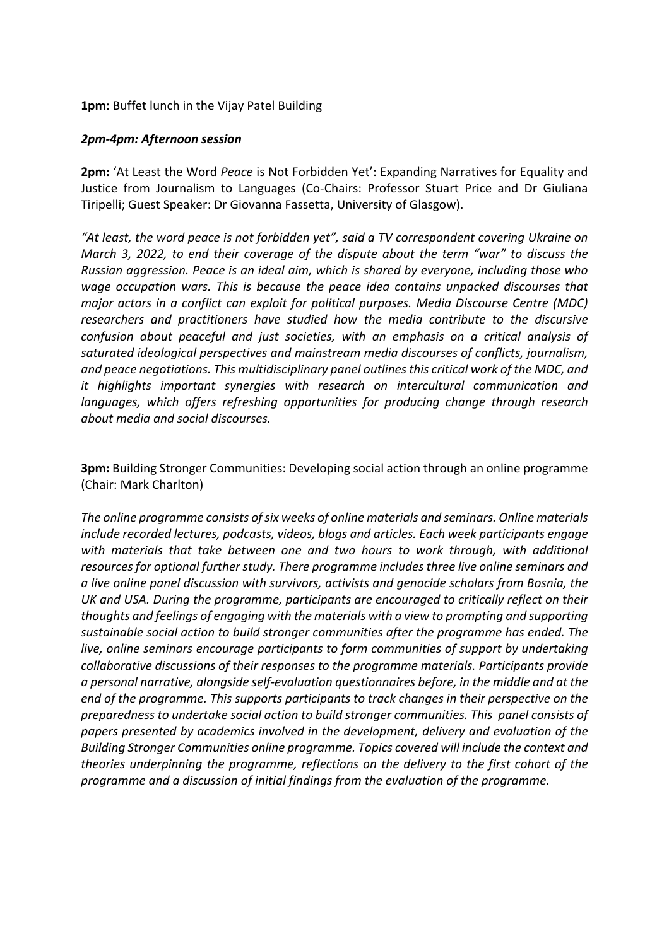**1pm:** Buffet lunch in the Vijay Patel Building

#### *2pm-4pm: Afternoon session*

**2pm:** 'At Least the Word *Peace* is Not Forbidden Yet': Expanding Narratives for Equality and Justice from Journalism to Languages (Co-Chairs: Professor Stuart Price and Dr Giuliana Tiripelli; Guest Speaker: Dr Giovanna Fassetta, University of Glasgow).

*"At least, the word peace is not forbidden yet", said a TV correspondent covering Ukraine on March 3, 2022, to end their coverage of the dispute about the term "war" to discuss the Russian aggression. Peace is an ideal aim, which is shared by everyone, including those who wage occupation wars. This is because the peace idea contains unpacked discourses that major actors in a conflict can exploit for political purposes. Media Discourse Centre (MDC) researchers and practitioners have studied how the media contribute to the discursive confusion about peaceful and just societies, with an emphasis on a critical analysis of saturated ideological perspectives and mainstream media discourses of conflicts, journalism, and peace negotiations. This multidisciplinary panel outlines this critical work of the MDC, and it highlights important synergies with research on intercultural communication and languages, which offers refreshing opportunities for producing change through research about media and social discourses.* 

**3pm:** Building Stronger Communities: Developing social action through an online programme (Chair: Mark Charlton)

*The online programme consists of six weeks of online materials and seminars. Online materials include recorded lectures, podcasts, videos, blogs and articles. Each week participants engage*  with materials that take between one and two hours to work through, with additional *resources for optional further study. There programme includes three live online seminars and a live online panel discussion with survivors, activists and genocide scholars from Bosnia, the UK and USA. During the programme, participants are encouraged to critically reflect on their thoughts and feelings of engaging with the materials with a view to prompting and supporting sustainable social action to build stronger communities after the programme has ended. The live, online seminars encourage participants to form communities of support by undertaking collaborative discussions of their responses to the programme materials. Participants provide a personal narrative, alongside self-evaluation questionnaires before, in the middle and at the end of the programme. This supports participants to track changes in their perspective on the preparedness to undertake social action to build stronger communities. This panel consists of papers presented by academics involved in the development, delivery and evaluation of the Building Stronger Communities online programme. Topics covered will include the context and theories underpinning the programme, reflections on the delivery to the first cohort of the programme and a discussion of initial findings from the evaluation of the programme.*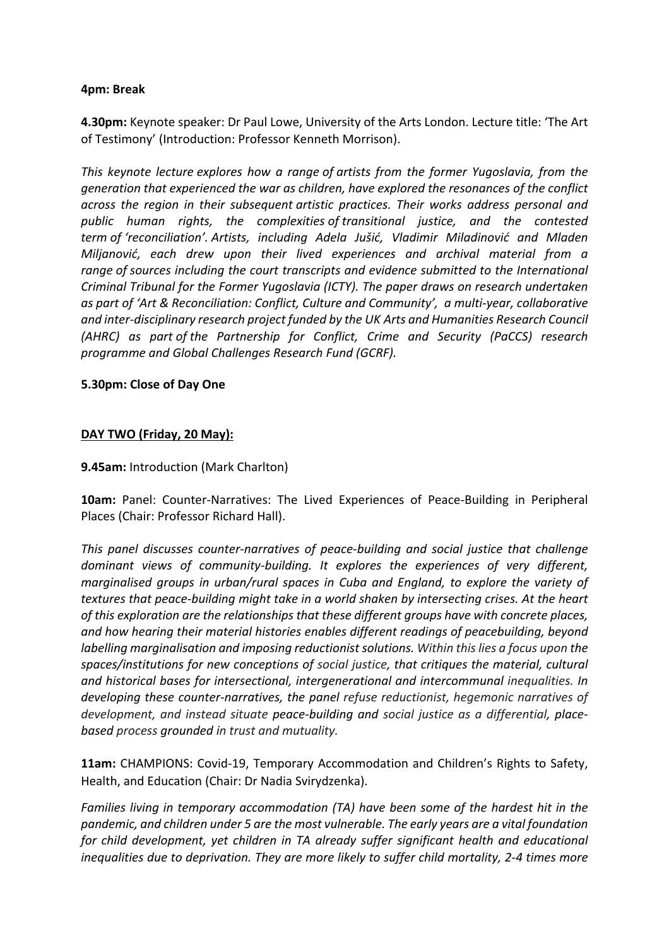## **4pm: Break**

**4.30pm:** Keynote speaker: Dr Paul Lowe, University of the Arts London. Lecture title: 'The Art of Testimony' (Introduction: Professor Kenneth Morrison).

*This keynote lecture explores how a range of artists from the former Yugoslavia, from the generation that experienced the war as children, have explored the resonances of the conflict across the region in their subsequent artistic practices. Their works address personal and public human rights, the complexities of transitional justice, and the contested term of 'reconciliation'. Artists, including Adela Jušić, Vladimir Miladinović and Mladen Miljanović, each drew upon their lived experiences and archival material from a range of sources including the court transcripts and evidence submitted to the International Criminal Tribunal for the Former Yugoslavia (ICTY). The paper draws on research undertaken as part of 'Art & Reconciliation: Conflict, Culture and Community', a multi-year, collaborative and inter-disciplinary research project funded by the UK Arts and Humanities Research Council (AHRC) as part of the Partnership for Conflict, Crime and Security (PaCCS) research programme and Global Challenges Research Fund (GCRF).*

## **5.30pm: Close of Day One**

## **DAY TWO (Friday, 20 May):**

### **9.45am:** Introduction (Mark Charlton)

**10am:** Panel: Counter-Narratives: The Lived Experiences of Peace-Building in Peripheral Places (Chair: Professor Richard Hall).

*This panel discusses counter-narratives of peace-building and social justice that challenge dominant views of community-building. It explores the experiences of very different, marginalised groups in urban/rural spaces in Cuba and England, to explore the variety of textures that peace-building might take in a world shaken by intersecting crises. At the heart of this exploration are the relationships that these different groups have with concrete places, and how hearing their material histories enables different readings of peacebuilding, beyond labelling marginalisation and imposing reductionist solutions. Within this lies a focus upon the spaces/institutions for new conceptions of social justice, that critiques the material, cultural and historical bases for intersectional, intergenerational and intercommunal inequalities. In developing these counter-narratives, the panel refuse reductionist, hegemonic narratives of development, and instead situate peace-building and social justice as a differential, placebased process grounded in trust and mutuality.*

**11am:** CHAMPIONS: Covid-19, Temporary Accommodation and Children's Rights to Safety, Health, and Education (Chair: Dr Nadia Svirydzenka).

*Families living in temporary accommodation (TA) have been some of the hardest hit in the pandemic, and children under 5 are the most vulnerable. The early years are a vital foundation for child development, yet children in TA already suffer significant health and educational inequalities due to deprivation. They are more likely to suffer child mortality, 2-4 times more*